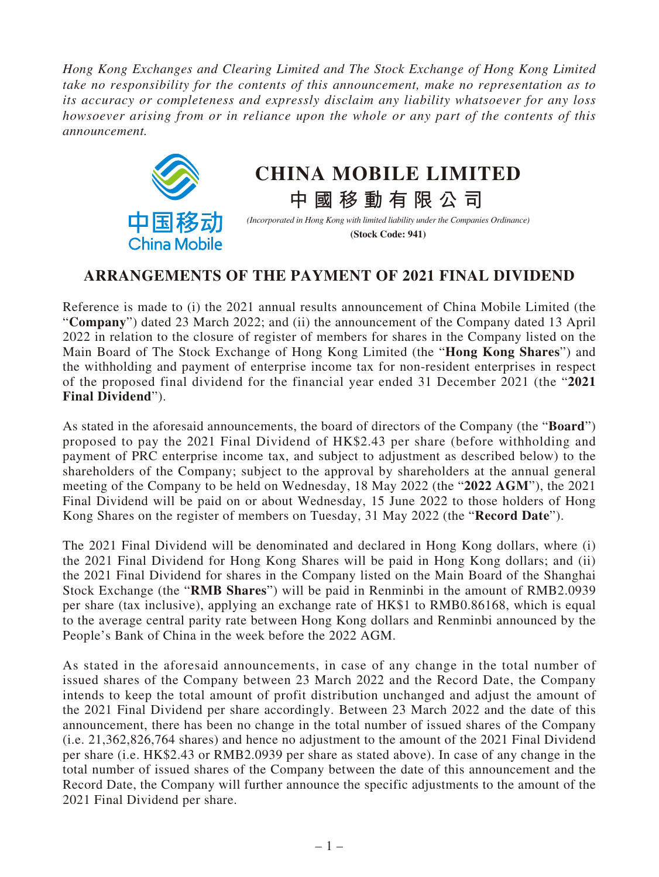*Hong Kong Exchanges and Clearing Limited and The Stock Exchange of Hong Kong Limited take no responsibility for the contents of this announcement, make no representation as to its accuracy or completeness and expressly disclaim any liability whatsoever for any loss howsoever arising from or in reliance upon the whole or any part of the contents of this announcement.*



## **CHINA MOBILE LIMITED**

*(Incorporated in Hong Kong with limited liability under the Companies Ordinance)* **(Stock Code: 941)**

**中國移動有限公司**

## **ARRANGEMENTS OF THE PAYMENT OF 2021 FINAL DIVIDEND**

Reference is made to (i) the 2021 annual results announcement of China Mobile Limited (the "**Company**") dated 23 March 2022; and (ii) the announcement of the Company dated 13 April 2022 in relation to the closure of register of members for shares in the Company listed on the Main Board of The Stock Exchange of Hong Kong Limited (the "**Hong Kong Shares**") and the withholding and payment of enterprise income tax for non-resident enterprises in respect of the proposed final dividend for the financial year ended 31 December 2021 (the "**2021 Final Dividend**").

As stated in the aforesaid announcements, the board of directors of the Company (the "**Board**") proposed to pay the 2021 Final Dividend of HK\$2.43 per share (before withholding and payment of PRC enterprise income tax, and subject to adjustment as described below) to the shareholders of the Company; subject to the approval by shareholders at the annual general meeting of the Company to be held on Wednesday, 18 May 2022 (the "**2022 AGM**"), the 2021 Final Dividend will be paid on or about Wednesday, 15 June 2022 to those holders of Hong Kong Shares on the register of members on Tuesday, 31 May 2022 (the "**Record Date**").

The 2021 Final Dividend will be denominated and declared in Hong Kong dollars, where (i) the 2021 Final Dividend for Hong Kong Shares will be paid in Hong Kong dollars; and (ii) the 2021 Final Dividend for shares in the Company listed on the Main Board of the Shanghai Stock Exchange (the "**RMB Shares**") will be paid in Renminbi in the amount of RMB2.0939 per share (tax inclusive), applying an exchange rate of HK\$1 to RMB0.86168, which is equal to the average central parity rate between Hong Kong dollars and Renminbi announced by the People's Bank of China in the week before the 2022 AGM.

As stated in the aforesaid announcements, in case of any change in the total number of issued shares of the Company between 23 March 2022 and the Record Date, the Company intends to keep the total amount of profit distribution unchanged and adjust the amount of the 2021 Final Dividend per share accordingly. Between 23 March 2022 and the date of this announcement, there has been no change in the total number of issued shares of the Company (i.e. 21,362,826,764 shares) and hence no adjustment to the amount of the 2021 Final Dividend per share (i.e. HK\$2.43 or RMB2.0939 per share as stated above). In case of any change in the total number of issued shares of the Company between the date of this announcement and the Record Date, the Company will further announce the specific adjustments to the amount of the 2021 Final Dividend per share.